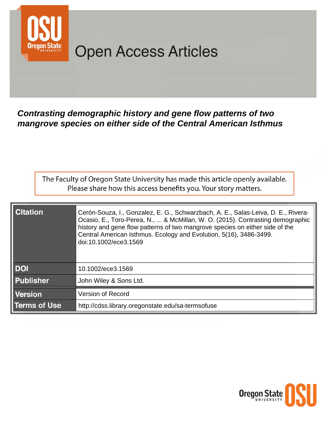

# **Open Access Articles**

Contrasting demographic history and gene flow patterns of two mangrove species on either side of the Central American Isthmus

The Faculty of Oregon State University has made this article openly available. Please share how this access benefits you. Your story matters.

| <b>Citation</b>     | Cerón-Souza, I., Gonzalez, E. G., Schwarzbach, A. E., Salas-Leiva, D. E., Rivera-<br>Ocasio, E., Toro-Perea, N.,  & McMillan, W. O. (2015). Contrasting demographic<br>history and gene flow patterns of two mangrove species on either side of the<br>Central American Isthmus. Ecology and Evolution, 5(16), 3486-3499.<br>doi:10.1002/ece3.1569 |
|---------------------|----------------------------------------------------------------------------------------------------------------------------------------------------------------------------------------------------------------------------------------------------------------------------------------------------------------------------------------------------|
| <b>DOI</b>          | 10.1002/ece3.1569                                                                                                                                                                                                                                                                                                                                  |
| <b>Publisher</b>    | John Wiley & Sons Ltd.                                                                                                                                                                                                                                                                                                                             |
| <b>Version</b>      | <b>Version of Record</b>                                                                                                                                                                                                                                                                                                                           |
| <b>Terms of Use</b> | http://cdss.library.oregonstate.edu/sa-termsofuse                                                                                                                                                                                                                                                                                                  |

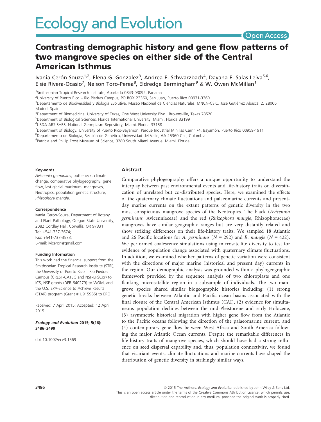# **Open Access**

# Contrasting demographic history and gene flow patterns of two mangrove species on either side of the Central American Isthmus

Ivania Cerón-Souza<sup>1,2</sup>, Elena G. Gonzalez<sup>3</sup>, Andrea E. Schwarzbach<sup>4</sup>, Dayana E. Salas-Leiva<sup>5,6</sup>, Elsie Rivera-Ocasio<sup>7</sup>, Nelson Toro-Perea<sup>8</sup>, Eldredge Bermingham<sup>9</sup> & W. Owen McMillan<sup>1</sup>

1 Smithsonian Tropical Research Institute, Apartado 0843-03092, Panama

2 University of Puerto Rico – Rio Piedras Campus, PO BOX 23360, San Juan, Puerto Rico 00931-3360

<sup>3</sup>Departamento de Biodiversidad y Biología Evolutiva, Museo Nacional de Ciencias Naturales, MNCN-CSIC, José Gutiérrez Abascal 2, 28006 Madrid, Spain

4 Department of Biomedicine, University of Texas, One West University Blvd., Brownsville, Texas 78520

5 Department of Biological Sciences, Florida International University, Miami, Florida 33199

6 USDA-ARS-SHRS, National Germplasm Repository, Miami, Florida 33158

<sup>7</sup>Department of Biology, University of Puerto Rico-Bayamon, Parque Industrial Minillas Carr 174, Bayamón, Puerto Rico 00959-1911

<sup>8</sup>Departamento de Biología, Sección de Genética, Universidad del Valle, AA 25360 Cali, Colombia

9 Patricia and Phillip Frost Museum of Science, 3280 South Miami Avenue, Miami, Florida

#### Keywords

Avicennia germinans, bottleneck, climate change, comparative phylogeography, gene flow, last glacial maximum, mangroves, Neotropics, population genetic structure, Rhizophora mangle.

#### Correspondence

Ivania Cerón-Souza, Department of Botany and Plant Pathology, Oregon State University, 2082 Cordley Hall, Corvallis, OR 97331. Tel: +541-737-3674; Fax: +541-737-3573; E-mail: iviceron@gmail.com

#### Funding Information

This work had the financial support from the Smithsonian Tropical Research Institute (STRI), the University of Puerto Rico – Rio Piedras Campus (CREST-CATEC and NSF-EPSCor) to ICS, NSF grants (DEB 640279) to WOM, and the U.S. EPA-Science to Achieve Results (STAR) program (Grant # U915985) to ERO.

Received: 7 April 2015; Accepted: 12 April 2015

Ecology and Evolution 2015; 5(16): 3486–3499

doi: 10.1002/ece3.1569

#### Abstract

Comparative phylogeography offers a unique opportunity to understand the interplay between past environmental events and life-history traits on diversification of unrelated but co-distributed species. Here, we examined the effects of the quaternary climate fluctuations and palaeomarine currents and presentday marine currents on the extant patterns of genetic diversity in the two most conspicuous mangrove species of the Neotropics. The black (Avicennia germinans, Avicenniaceae) and the red (Rhizophora mangle, Rhizophoraceae) mangroves have similar geographic ranges but are very distantly related and show striking differences on their life-history traits. We sampled 18 Atlantic and 26 Pacific locations for A. germinans ( $N = 292$ ) and R. mangle ( $N = 422$ ). We performed coalescence simulations using microsatellite diversity to test for evidence of population change associated with quaternary climate fluctuations. In addition, we examined whether patterns of genetic variation were consistent with the directions of major marine (historical and present day) currents in the region. Our demographic analysis was grounded within a phylogeographic framework provided by the sequence analysis of two chloroplasts and one flanking microsatellite region in a subsample of individuals. The two mangrove species shared similar biogeographic histories including: (1) strong genetic breaks between Atlantic and Pacific ocean basins associated with the final closure of the Central American Isthmus (CAI), (2) evidence for simultaneous population declines between the mid-Pleistocene and early Holocene, (3) asymmetric historical migration with higher gene flow from the Atlantic to the Pacific oceans following the direction of the palaeomarine current, and (4) contemporary gene flow between West Africa and South America following the major Atlantic Ocean currents. Despite the remarkable differences in life-history traits of mangrove species, which should have had a strong influence on seed dispersal capability and, thus, population connectivity, we found that vicariant events, climate fluctuations and marine currents have shaped the distribution of genetic diversity in strikingly similar ways.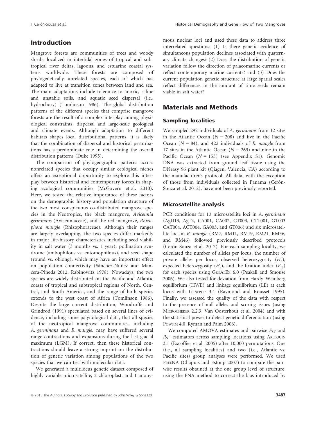# Introduction

Mangrove forests are communities of trees and woody shrubs localized in intertidal zones of tropical and subtropical river deltas, lagoons, and estuarine coastal systems worldwide. These forests are composed of phylogenetically unrelated species, each of which has adapted to live at transition zones between land and sea. The main adaptations include tolerance to anoxic, saline and unstable soils, and aquatic seed dispersal (i.e., hydrochory) (Tomlinson 1986). The global distribution patterns of the different species that comprise mangrove forests are the result of a complex interplay among physiological constraints, dispersal and large-scale geological and climate events. Although adaptation to different habitats shapes local distributional patterns, it is likely that the combination of dispersal and historical perturbations has a predominate role in determining the overall distribution patterns (Duke 1995).

The comparison of phylogeographic patterns across nonrelated species that occupy similar ecological niches offers an exceptional opportunity to explore this interplay between historical and contemporary forces in shaping ecological communities (McGovern et al. 2010). Here, we tested the relative importance of these factors on the demographic history and population structure of the two most conspicuous co-distributed mangrove species in the Neotropics, the black mangrove, Avicennia germinans (Avicenniaceae), and the red mangrove, Rhizophora mangle (Rhizophoraceae). Although their ranges are largely overlapping, the two species differ markedly in major life-history characteristics including seed viability in salt water (3 months vs. 1 year), pollination syndrome (ambophilous vs. entomophilous), and seed shape (round vs. oblong), which may have an important effect on population connectivity (Sánchez-Nuñez and Mancera-Pineda 2012, Rabinowitz 1978). Nowadays, the two species are widely distributed on the Pacific and Atlantic coasts of tropical and subtropical regions of North, Central, and South America, and the range of both species extends to the west coast of Africa (Tomlinson 1986). Despite the large current distribution, Woodroffe and Grindrod (1991) speculated based on several lines of evidence, including some palynological data, that all species of the neotropical mangrove communities, including A. germinans and R. mangle, may have suffered several range contractions and expansions during the last glacial maximum (LGM). If correct, then these historical contractions should leave a strong imprint on the distribution of genetic variation among populations of the two species that we can test with molecular data.

We generated a multilocus genetic dataset composed of highly variable microsatellite, 2 chloroplast, and 1 anonymous nuclear loci and used these data to address three interrelated questions: (1) Is there genetic evidence of simultaneous population declines associated with quaternary climate changes? (2) Does the distribution of genetic variation follow the direction of palaeomarine currents or reflect contemporary marine currents? and (3) Does the current population genetic structure at large spatial scales reflect differences in the amount of time seeds remain viable in salt water?

# Materials and Methods

#### Sampling localities

We sampled 292 individuals of A. germinans from 12 sites in the Atlantic Ocean ( $N = 208$ ) and five in the Pacific Ocean  $(N = 84)$ , and 422 individuals of R. mangle from 17 sites in the Atlantic Ocean ( $N = 269$ ) and nine in the Pacific Ocean  $(N = 153)$  (see Appendix S1). Genomic DNA was extracted from ground leaf tissue using the DNeasy 96 plant kit (Qiagen, Valencia, CA) according to the manufacturer's protocol. All data, with the exception of those from individuals collected in Panama (Cerón-Souza et al. 2012), have not been previously reported.

#### Microsatellite analysis

PCR conditions for 13 microsatellite loci in A. germinans (AgD13, AgT4, CA001, CA002, CT003, CTT001, GT003 CAT004, ACT004, GA003, and GT006) and six microsatellite loci in R. mangle (RM7, RM11, RM19, RM21, RM36, and RM46) followed previously described protocols (Cerón-Souza et al. 2012). For each sampling locality, we calculated the number of alleles per locus, the number of private alleles per locus, observed heterozygosity  $(H_o)$ , expected heterozygosity  $(H_e)$ , and the fixation index  $(F_{IS})$ for each species using GENALEX 6.0 (Peakall and Smouse 2006). We also tested for deviation from Hardy–Weinberg equilibrium (HWE) and linkage equilibrium (LE) at each locus with GENEPOP 3.4 (Raymond and Rousset 1995). Finally, we assessed the quality of the data with respect to the presence of null alleles and scoring issues (using MICROCHEKER 2.2.3, Van Oosterhout et al. 2004) and with the statistical power to detect genetic differentiation (using POWSIM 4.0, Ryman and Palm 2006).

We computed AMOVA estimates and pairwise  $F_{ST}$  and  $R<sub>ST</sub>$  estimators across sampling locations using ARLEQUIN 3.1 (Excoffier et al. 2005) after 10,000 permutations. One (i.e., all sampling localities) and two (i.e., Atlantic vs. Pacific sites) group analyses were performed. We used FREENA (Chapuis and Estoup 2007) to compare the pairwise results obtained at the one group level of structure, using the ENA method to correct the bias introduced by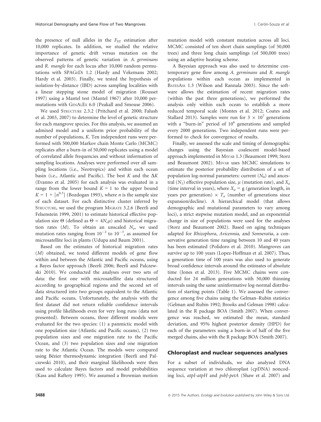the presence of null alleles in the  $F_{ST}$  estimation after 10,000 replicates. In addition, we studied the relative importance of genetic drift versus mutation on the observed patterns of genetic variation in A. germinans and R. mangle for each locus after 10,000 random permutations with SPAGEDI 1.2 (Hardy and Vekemans 2002; Hardy et al. 2003). Finally, we tested the hypothesis of isolation-by-distance (IBD) across sampling localities with a linear stepping stone model of migration (Rousset 1997) using a Mantel test (Mantel 1967) after 10,000 permutations with GENALEX 6.0 (Peakall and Smouse 2006).

We used STRUCTURE 2.3.2 (Pritchard et al. 2000; Falush et al. 2003, 2007) to determine the level of genetic structure for each mangrove species. For this analysis, we assumed an admixed model and a uniform prior probability of the number of populations, K. Ten independent runs were performed with 500,000 Markov chain Monte Carlo (MCMC) replicates after a burn-in of 50,000 replicates using a model of correlated allele frequencies and without information of sampling locations. Analyses were performed over all sampling locations (i.e., Neotropics) and within each ocean basin (i.e., Atlantic and Pacific). The best K and the  $\Delta K$ (Evanno et al. 2005) for each analysis was evaluated in a range from the lower bound  $K = 1$  to the upper bound  $K = 1 + [n^{0.3}]$  (Bozdogan 1993), where *n* is the sample size of each dataset. For each distinctive cluster inferred by STRUCTURE, we used the program MIGRATE 3.2.6 (Beerli and Felsenstein 1999, 2001) to estimate historical effective population size  $\Theta$  (defined as  $\Theta = 4N_e\mu$ ) and historical migration rates  $(M)$ . To obtain an unscaled  $N_e$ , we used mutation rates ranging from  $10^{-2}$  to  $10^{-3}$ , as assumed for microsatellite loci in plants (Udupa and Baum 2001).

Based on the estimates of historical migration rates (M) obtained, we tested different models of gene flow within and between the Atlantic and Pacific oceans, using a Bayes factor approach (Beerli 2006; Beerli and Palczewski 2010). We conducted the analyses over two sets of data: the first one with microsatellite data structured according to geographical regions and the second set of data structured into two groups equivalent to the Atlantic and Pacific oceans. Unfortunately, the analysis with the first dataset did not return reliable confidence intervals using profile likelihoods even for very long runs (data not presented). Between oceans, three different models were evaluated for the two species: (1) a panmictic model with one population size (Atlantic and Pacific oceans), (2) two population sizes and one migration rate to the Pacific Ocean, and (3) two population sizes and one migration rate to the Atlantic Ocean. The models were compared using Bézier thermodynamic integration (Beerli and Palczewski 2010), and their marginal likelihoods were then used to calculate Bayes factors and model probabilities (Kass and Raftery 1995). We assumed a Brownian motion

mutation model with constant mutation across all loci. MCMC consisted of ten short chain samplings (of 50,000 trees) and three long chain samplings (of 500,000 trees) using an adaptive heating scheme.

A Bayesian approach was also used to determine contemporary gene flow among A. germinans and R. mangle populations within each ocean as implemented in BAYESASS 1.3 (Wilson and Rannala 2003). Since the software allows the estimation of recent migration rates (within the past three generations), we performed the analysis only within each ocean to establish a more reduced temporal scale (Montes et al. 2012; Coates and Stallard 2013). Samples were run for  $3 \times 10^7$  generations with a "burn-in" period of  $10^6$  generations and sampled every 2000 generations. Two independent runs were performed to check for convergence of results.

Finally, we assessed the scale and timing of demographic changes using the Bayesian coalescent model-based approach implemented in MSVAR 1.3 (Beaumont 1999; Storz and Beaumont 2002). MSVAR uses MCMC simulations to estimate the posterior probability distribution of a set of population log-normal parameters: current  $(N_0)$  and ancestral  $(N_1)$  effective population size,  $\mu$  (mutation rate), and  $X_a$ (time interval in years), where  $X_a = g$  (generation length, in years per generation)  $\times T_a$  (number of generations since expansion/decline). A hierarchical model (that allows demographic and mutational parameters to vary among loci), a strict stepwise mutation model, and an exponential change in size of populations were used for the analyses (Storz and Beaumont 2002). Based on aging techniques adapted for Rhizophora, Avicennia, and Sonneratia, a conservative generation time ranging between 10 and 40 years has been estimated (Polidoro et al. 2010). Mangroves can survive up to 100 years (Lopez-Hoffman et al. 2007). Thus, a generation time of 100 years was also used to generate broad confidence intervals around the estimates of absolute time (Jones et al. 2013). Five MCMC chains were conducted for 24 million generations with 50,000 thinning intervals using the same uninformative log-normal distribution of starting points (Table 1). We assessed the convergence among five chains using the Gelman–Rubin statistics (Gelman and Rubin 1992; Brooks and Gelman 1998) calculated in the R package BOA (Smith 2007). When convergence was reached, we estimated the mean, standard deviation, and 95% highest posterior density (HPD) for each of the parameters using a burn-in of half of the five merged chains, also with the R package BOA (Smith 2007).

#### Chloroplast and nuclear sequences analyses

For a subset of individuals, we also analyzed DNA sequence variation at two chloroplast (cpDNA) noncoding loci, atpI-atpH and psbJ-petA (Shaw et al. 2007) and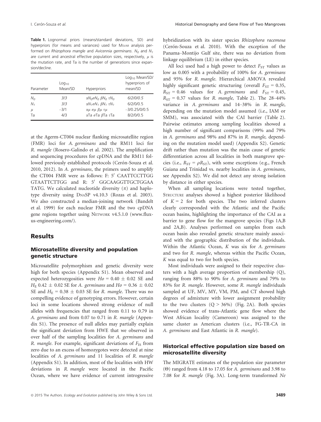Table 1. Lognormal priors (means/standard deviations, SD) and hyperpriors (for means and variances) used for MsvAR analysis performed on Rhizophora mangle and Avicennia germinans. N<sub>0</sub> and N<sub>1</sub> are current and ancestral effective population sizes, respectively,  $\mu$  is the mutation rate, and Ta is the number of generations since expansion/decline.

| Parameter      | Log <sub>10</sub><br>Mean/SD | <b>Hyperpriors</b>                             | Log <sub>10</sub> Mean/SD/<br>hyperpriors of<br>mean/SD |
|----------------|------------------------------|------------------------------------------------|---------------------------------------------------------|
| N <sub>O</sub> | 3/3                          | α $N_0$ σ $N_0$ β $N_0$ τ $N_0$                | 6/2/0/0.5                                               |
| $N_{1}$        | 3/3                          | $\alpha N_1 \sigma N_1$ $\beta N_1$ $\tau N_1$ | 6/2/0/0.5                                               |
| $\mu$          | $-3/1$                       | αμ σμ βμ τμ                                    | $-3/0.25/0/0.5$                                         |
| Ta             | 4/3                          | αTa σTa $β$ Ta τTa                             | 8/2/0/0.5                                               |

at the Agerm-CT004 nuclear flanking microsatellite region (FMR) loci for A. germinans and the RM11 loci for R. mangle (Rosero-Galindo et al. 2002). The amplification and sequencing procedures for cpDNA and the RM11 followed previously established protocols (Cerón-Souza et al. 2010, 2012). In A. germinans, the primers used to amplify the CT004 FMR were as follows: F: 5' CAATTCCTTGG GTAATTCTTGG and R: 5' GGCAAGGTTGCTGGAA TATG. We calculated nucleotide diversity  $(\pi)$  and haplotype diversity using DNASP v4.10.3 (Rozas et al. 2003). We also constructed a median-joining network (Bandelt et al. 1999) for each nuclear FMR and the two cpDNA gene regions together using NETWORK v4.5.1.0 ([www.flux](http://www.fluxus-engineering.com/)[us-engineering.com/](http://www.fluxus-engineering.com/)).

#### Results

#### Microsatellite diversity and population genetic structure

Microsatellite polymorphism and genetic diversity were high for both species (Appendix S1). Mean observed and expected heterozygosities were  $Ho = 0.40 \pm 0.02$  SE and  $H_{\rm E}$  0.42  $\pm$  0.02 SE for A. germinans and  $H_0 = 0.36 \pm 0.02$ SE and  $H_E = 0.38 \pm 0.03$  SE for R. mangle. There was no compelling evidence of genotyping errors. However, certain loci in some locations showed strong evidence of null alleles with frequencies that ranged from 0.11 to 0.79 in A. germinans and from 0.07 to 0.71 in R. mangle (Appendix S1). The presence of null alleles may partially explain the significant deviation from HWE that we observed in over half of the sampling localities for A. germinans and R. mangle. For example, significant deviations of  $F_{IS}$  from zero due to an excess of homozygotes were detected at nine localities of A. germinans and 11 localities of R. mangle (Appendix S1). In addition, most of the localities with HW deviations in R. mangle were located in the Pacific Ocean, where we have evidence of current introgressive hybridization with its sister species Rhizophora racemosa (Cerón-Souza et al. 2010). With the exception of the Panama–Montijo Gulf site, there was no deviation from linkage equilibrium (LE) in either species.

All loci used had a high power to detect  $F_{ST}$  values as low as 0.005 with a probability of 100% for A. germinans and 95% for R. mangle. Hierarchical AMOVA revealed highly significant genetic structuring (overall  $F_{ST} = 0.35$ ,  $R_{ST} = 0.46$  values for A. germinans and  $F_{ST} = 0.45$ ,  $R_{ST}$  = 0.37 values for R. mangle, Table 2). The 28-44% variance in A. germinans and 14–38% in R. mangle, depending on the mutation model assumed (i.e., IAM or SMM), was associated with the CAI barrier (Table 2). Pairwise estimates among sampling localities showed a high number of significant comparisons (99% and 79% in A. germinans and 98% and 87% in R. mangle, depending on the mutation model used) (Appendix S2). Genetic drift rather than mutation was the main cause of genetic differentiation across all localities in both mangrove species (i.e.,  $R_{ST} = \rho R_{ST}$ ), with some exceptions (e.g., French Guiana and Trinidad vs. nearby localities in A. germinans, see Appendix S2). We did not detect any strong isolation by distance in either species.

When all sampling locations were tested together, STRUCTURE analyses showed a highest posterior likelihood of  $K = 2$  for both species. The two inferred clusters clearly corresponded with the Atlantic and the Pacific ocean basins, highlighting the importance of the CAI as a barrier to gene flow for the mangrove species (Figs 1A,B and 2A,B). Analyses performed on samples from each ocean basin also revealed genetic structure mainly associated with the geographic distribution of the individuals. Within the Atlantic Ocean, K was six for A. germinans and two for R. mangle, whereas within the Pacific Ocean, K was equal to two for both species.

Most individuals were assigned to their respective clusters with a high average proportion of membership (Q), ranging from 88% to 90% for A. germinans and 79% to 83% for R. mangle. However, some R. mangle individuals sampled at UF, MV, MY, VM, PM, and CT showed high degrees of admixture with lower assignment probability to the two clusters  $(Q > 36\%)$  (Fig. 2A). Both species showed evidence of trans-Atlantic gene flow where the West African locality (Cameroon) was assigned to the same cluster as American clusters (i.e., FG-TR-CA in A. germinans and East Atlantic in R. mangle).

## Historical effective population size based on microsatellite diversity

The MIGRATE estimates of the population size parameter (Θ) ranged from 4.18 to 17.05 for A. germinans and 3.98 to 7.08 for R. mangle (Fig. 3A). Long-term transformed Ne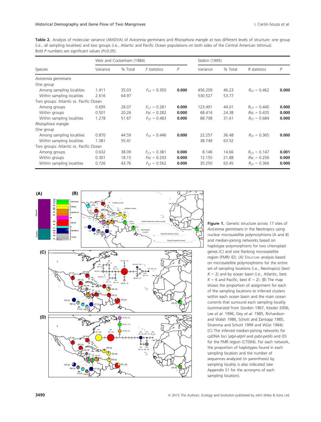Table 2. Analysis of molecular variance (AMOVA) of Avicennia germinans and Rhizophora mangle at two different levels of structure: one group (i.e., all sampling localities) and two groups (i.e., Atlantic and Pacific Ocean populations on both sides of the Central American Isthmus). Bold P numbers are significant values (P<0.05)

|                                        | Weir and Cockerham (1984) |         |                     | Slatkin (1995) |          |         |                  |       |
|----------------------------------------|---------------------------|---------|---------------------|----------------|----------|---------|------------------|-------|
| Species                                | Variance                  | % Total | <i>F</i> statistics | P              | Variance | % Total | R statistics     | P     |
| Avicennia germinans                    |                           |         |                     |                |          |         |                  |       |
| One group                              |                           |         |                     |                |          |         |                  |       |
| Among sampling localities              | 1.411                     | 35.03   | $F_{ST} = 0.350$    | 0.000          | 456.209  | 46.23   | $R_{ST} = 0.462$ | 0.000 |
| Within sampling localities             | 2.616                     | 64.97   |                     |                | 530.527  | 53.77   |                  |       |
| Two groups: Atlantic vs. Pacific Ocean |                           |         |                     |                |          |         |                  |       |
| Among groups                           | 0.695                     | 28.07   | $F_{CT} = 0.281$    | 0.000          | 123.491  | 44.01   | $R_{CT} = 0.440$ | 0.000 |
| Within groups                          | 0.501                     | 20.26   | $FSC = 0.282$       | 0.000          | 68.414   | 24.38   | $Rsc = 0.435$    | 0.000 |
| Within sampling localities             | 1.278                     | 51.67   | $F_{ST} = 0.483$    | 0.000          | 88.708   | 31.61   | $R_{ST} = 0.684$ | 0.000 |
| Rhizophora mangle                      |                           |         |                     |                |          |         |                  |       |
| One group                              |                           |         |                     |                |          |         |                  |       |
| Among sampling localities              | 0.870                     | 44.59   | $F_{ST} = 0.446$    | 0.000          | 22.257   | 36.48   | $R_{ST} = 0.365$ | 0.000 |
| Within sampling localities             | 1.081                     | 55.41   |                     |                | 38.749   | 63.52   |                  |       |
| Two groups: Atlantic vs. Pacific Ocean |                           |         |                     |                |          |         |                  |       |
| Among groups                           | 0.632                     | 38.09   | $F_{CT} = 0.381$    | 0.000          | 8.146    | 14.66   | $R_{CT} = 0.147$ | 0.001 |
| Within groups                          | 0.301                     | 18.15   | $FSC = 0.293$       | 0.000          | 12.155   | 21.88   | $Rsc = 0.256$    | 0.000 |
| Within sampling localities             | 0.726                     | 43.76   | $F_{ST} = 0.562$    | 0.000          | 35.250   | 63.45   | $R_{ST} = 0.366$ | 0.000 |



Figure 1. Genetic structure across 17 sites of Avicennia germinans in the Neotropics using nuclear microsatellite polymorphisms (A and B) and median-joining networks based on haplotype polymorphisms for two chloroplast genes (C) and one flanking microsatellite region (FMR) (D). (A) STRUCTURE analysis based on microsatellite polymorphisms for the entire set of sampling locations (i.e., Neotropics) (best  $K = 2$ ) and by ocean basin (i.e., Atlantic, best  $K = 6$  and Pacific, best  $K = 2$ ). (B) The map shows the proportion of assignment for each of the sampling locations to inferred clusters within each ocean basin and the main ocean currents that surround each sampling locality (summarized from Gordon 1967, Kessler 2006, Lee et al. 1996, Oey et al. 1985, Richardson and Walsh 1986, Schott and Zantopp 1985, Stramma and Schott 1999 and Wüst 1964). (C) The inferred median-joining networks for cpDNA loci (atpI-atpH and psbJ-petA) and (D) for the FMR region (CT004). For each network, the proportion of haplotypes found in each sampling location and the number of sequences analyzed (in parenthesis) by sampling locality is also indicated (see Appendix S1 for the acronyms of each sampling location).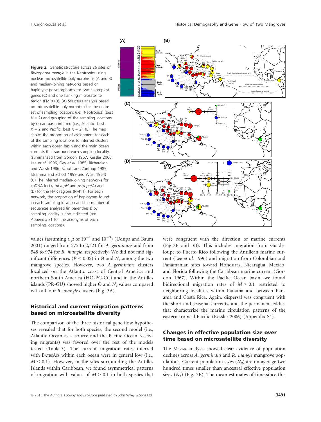Figure 2. Genetic structure across 26 sites of Rhizophora mangle in the Neotropics using nuclear microsatellite polymorphisms (A and B) and median-joining networks based on haplotype polymorphisms for two chloroplast genes (C) and one flanking microsatellite region (FMR) (D). (A) STRUCTURE analysis based on microsatellite polymorphism for the entire set of sampling locations (i.e., Neotropics) (best  $K = 2$ ) and grouping of the sampling locations by ocean basin inferred (i.e., Atlantic, best  $K = 2$  and Pacific, best  $K = 2$ ). (B) The map shows the proportion of assignment for each of the sampling locations to inferred clusters within each ocean basin and the main ocean currents that surround each sampling locality. (summarized from Gordon 1967, Kessler 2006, Lee et al. 1996, Oey et al. 1985, Richardson and Walsh 1986, Schott and Zantopp 1985, Stramma and Schott 1999 and Wüst 1964) (C) The inferred median-joining networks for cpDNA loci (atpI-atpH and psbJ-petA) and (D) for the FMR regions (RM11). For each network, the proportion of haplotypes found in each sampling location and the number of sequences analyzed (in parenthesis) by sampling locality is also indicated (see Appendix S1 for the acronyms of each sampling locations).

values (assuming a  $\mu$  of  $10^{-2}$  and  $10^{-3})$  (Udupa and Baum 2001) ranged from 575 to 2,321 for A. germinans and from 548 to 974 for R. mangle, respectively. We did not find significant differences ( $P < 0.05$ ) in Θ and  $N_e$  among the two mangrove species. However, two A. germinans clusters localized on the Atlantic coast of Central America and northern South America (HO-PG-CC) and in the Antilles islands (PR-GU) showed higher  $\Theta$  and  $N_e$  values compared with all four R. mangle clusters (Fig. 3A).

#### Historical and current migration patterns based on microsatellite diversity

The comparison of the three historical gene flow hypotheses revealed that for both species, the second model (i.e., Atlantic Ocean as a source and the Pacific Ocean receiving migrants) was favored over the rest of the models tested (Table 3). The current migration rates inferred with BAYESASS within each ocean were in general low (i.e.,  $M < 0.1$ ). However, in the sites surrounding the Antilles Islands within Caribbean, we found asymmetrical patterns of migration with values of  $M > 0.1$  in both species that



were congruent with the direction of marine currents (Fig 2B and 3B). This includes migration from Guadeloupe to Puerto Rico following the Antillean marine current (Lee et al. 1996) and migration from Colombian and Panamanian sites toward Honduras, Nicaragua, Mexico, and Florida following the Caribbean marine current (Gordon 1967). Within the Pacific Ocean basin, we found bidirectional migration rates of  $M > 0.1$  restricted to neighboring localities within Panama and between Panama and Costa Rica. Again, dispersal was congruent with the short and seasonal currents, and the permanent eddies that characterize the marine circulation patterns of the eastern tropical Pacific (Kessler 2006) (Appendix S4).

## Changes in effective population size over time based on microsatellite diversity

The MSVAR analysis showed clear evidence of population declines across A. germinans and R. mangle mangrove populations. Current population sizes  $(N_0)$  are on average two hundred times smaller than ancestral effective population sizes  $(N_1)$  (Fig. 3B). The mean estimates of time since this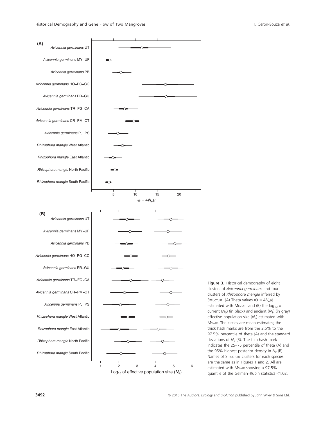



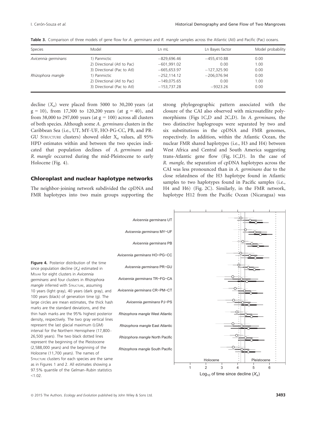| Species             | Model                                        | $Ln$ mL       | Ln Bayes factor | Model probability |
|---------------------|----------------------------------------------|---------------|-----------------|-------------------|
| Avicennia germinans | 1) Panmictic                                 | $-829.696.46$ | $-455,410.88$   | 0.00              |
|                     | 2) Directional (Atl to Pac)                  | $-601,991.02$ | 0.00            | 1.00              |
|                     | 3) Directional (Pac to Atl)                  | $-665,653.97$ | $-127,325.90$   | 0.00              |
| Rhizophora mangle   | 1) Panmictic                                 | $-252.114.12$ | $-206.076.94$   | 0.00              |
|                     | 2) Directional (Atl to Pac)                  | $-149,075.65$ | 0.00            | 1.00              |
|                     | 3) Directional (Pac to Atl)<br>$-153,737.28$ | $-9323.26$    | 0.00            |                   |

Table 3. Comparison of three models of gene flow for A. germinans and R. mangle samples across the Atlantic (Atl) and Pacific (Pac) oceans.

decline  $(X_a)$  were placed from 5000 to 30,200 years (at  $g = 10$ ), from 17,300 to 120,200 years (at  $g = 40$ ), and from 38,000 to 297,000 years (at  $g = 100$ ) across all clusters of both species. Although some A. germinans clusters in the Caribbean Sea (i.e., UT, MY-UF, HO-PG-CC, PB, and PR-GU STRUCTURE clusters) showed older  $X_a$  values, all 95% HPD estimates within and between the two species indicated that population declines of A. germinans and R. mangle occurred during the mid-Pleistocene to early Holocene (Fig. 4).

#### Chloroplast and nuclear haplotype networks

The neighbor-joining network subdivided the cpDNA and FMR haplotypes into two main groups supporting the strong phylogeographic pattern associated with the closure of the CAI also observed with microsatellite polymorphisms (Figs 1C,D and 2C,D). In A. germinans, the two distinctive haplogroups were separated by two and six substitutions in the cpDNA and FMR genomes, respectively. In addition, within the Atlantic Ocean, the nuclear FMR shared haplotypes (i.e., H3 and H4) between West Africa and Central and South America suggesting trans-Atlantic gene flow (Fig. 1C,D). In the case of R. mangle, the separation of cpDNA haplotypes across the CAI was less pronounced than in A. germinans due to the close relatedness of the H3 haplotype found in Atlantic samples to two haplotypes found in Pacific samples (i.e., H4 and H6) (Fig. 2C). Similarly, in the FMR network, haplotype H12 from the Pacific Ocean (Nicaragua) was



Log<sub>10</sub> of time since decline  $(X_a)$ 

 $\circledcirc$  2015 The Authors. Ecology and Evolution published by John Wiley & Sons Ltd. 3493

 $< 1.02$ .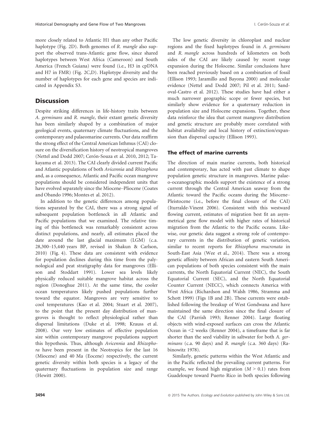more closely related to Atlantic H1 than any other Pacific haplotype (Fig. 2D). Both genomes of R. mangle also support the observed trans-Atlantic gene flow, since shared haplotypes between West Africa (Cameroon) and South America (French Guiana) were found (i.e., H3 in cpDNA and H7 in FMR) (Fig. 2C,D). Haplotype diversity and the number of haplotypes for each gene and species are indicated in Appendix S3.

# **Discussion**

Despite striking differences in life-history traits between A. germinans and R. mangle, their extant genetic diversity has been similarly shaped by a combination of major geological events, quaternary climate fluctuations, and the contemporary and palaeomarine currents. Our data reaffirm the strong effect of the Central American Isthmus (CAI) closure on the diversification history of neotropical mangroves (Nettel and Dodd 2007; Cerón-Souza et al. 2010, 2012; Takayama et al. 2013). The CAI clearly divided current Pacific and Atlantic populations of both Avicennia and Rhizophora and, as a consequence, Atlantic and Pacific ocean mangrove populations should be considered independent units that have evolved separately since the Miocene–Pliocene (Coates and Obando 1996; Montes et al. 2012).

In addition to the genetic differences among populations separated by the CAI, there was a strong signal of subsequent population bottleneck in all Atlantic and Pacific populations that we examined. The relative timing of this bottleneck was remarkably consistent across distinct populations, and nearly, all estimates placed the date around the last glacial maximum (LGM) (c.a. 28,300–15,440 years BP, revised in Shakun & Carlson, 2010) (Fig. 4). These data are consistent with evidence for population declines during this time from the palynological and peat stratigraphy data for mangroves (Ellison and Stoddart 1991). Lower sea levels likely physically reduced suitable mangrove habitat across the region (Donoghue 2011). At the same time, the cooler ocean temperatures likely pushed populations further toward the equator. Mangroves are very sensitive to cool temperatures (Kao et al. 2004; Stuart et al. 2007), to the point that the present day distribution of mangroves is thought to reflect physiological rather than dispersal limitations (Duke et al. 1998; Krauss et al. 2008). Our very low estimates of effective population size within contemporary mangrove populations support this hypothesis. Thus, although Avicennia and Rhizophora have been present in the Neotropics for the last 16 (Miocene) and 40 Ma (Eocene) respectively, the current genetic diversity within both species is a legacy of the quaternary fluctuations in population size and range (Hewitt 2000).

The low genetic diversity in chloroplast and nuclear regions and the fixed haplotypes found in A. germinans and R. mangle across hundreds of kilometers on both sides of the CAI are likely caused by recent range expansion during the Holocene. Similar conclusions have been reached previously based on a combination of fossil (Ellison 1993; Jaramillo and Bayona 2000) and molecular evidence (Nettel and Dodd 2007; Pil et al. 2011; Sandoval-Castro et al. 2012). These studies have had either a much narrower geographic scope or fewer species, but similarly show evidence for a quaternary reduction in population size and Holocene expansions. Together, these data reinforce the idea that current mangrove distribution and genetic structure are probably more correlated with habitat availability and local history of extinction/expansion than dispersal capacity (Ellison 1993).

## The effect of marine currents

The direction of main marine currents, both historical and contemporary, has acted with past climate to shape population genetic structure in mangroves. Marine palaeo-oceanographic models support the existence of a strong current through the Central American seaway from the Atlantic toward the Pacific oceans during the Miocene– Pleistocene (i.e., before the final closure of the CAI) (Iturralde-Vinent 2006). Consistent with this westward flowing current, estimates of migration best fit an asymmetrical gene flow model with higher rates of historical migration from the Atlantic to the Pacific oceans. Likewise, our genetic data suggest a strong role of contemporary currents in the distribution of genetic variation, similar to recent reports for Rhizophora mucronata in South-East Asia (Wee et al., 2014). There was a strong genetic affinity between African and eastern South American populations of both species consistent with the main currents, the North Equatorial Current (NEC), the South Equatorial Current (SEC), and the North Equatorial Counter Current (NECC), which connects America with West Africa (Richardson and Walsh 1986, Stramma and Schott 1999) (Figs 1B and 2B). These currents were established following the breakup of West Gondwana and have maintained the same direction since the final closure of the CAI (Parrish 1993; Renner 2004). Large floating objects with wind-exposed surfaces can cross the Atlantic Ocean in <2 weeks (Renner 2004), a timeframe that is far shorter than the seed viability in saltwater for both A. germinans (c.a. 90 days) and R. mangle (c.a. 360 days) (Rabinowitz 1978).

Similarly, genetic patterns within the West Atlantic and in the Pacific reflected the prevailing current patterns. For example, we found high migration  $(M > 0.1)$  rates from Guadeloupe toward Puerto Rico in both species following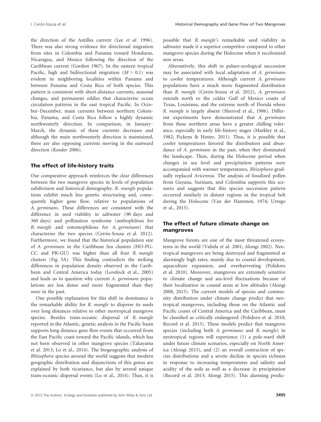the direction of the Antilles current (Lee et al. 1996). There was also strong evidence for directional migration from sites in Colombia and Panama toward Honduras, Nicaragua, and Mexico following the direction of the Caribbean current (Gordon 1967). In the eastern tropical Pacific, high and bidirectional migration  $(M > 0.1)$  was evident in neighboring localities within Panama and between Panama and Costa Rica of both species. This pattern is consistent with short-distance currents, seasonal changes, and permanent eddies that characterize ocean circulation patterns in the east tropical Pacific. In October–December, main currents between northern Colombia, Panama, and Costa Rica follow a highly dynamic northwesterly direction. In comparison, in January– March, the dynamic of these currents decreases and although the main northwesterly direction is maintained, there are also opposing currents moving in the eastward direction (Kessler 2006).

#### The effect of life-history traits

Our comparative approach reinforces the clear differences between the two mangrove species in levels of population subdivision and historical demography. R. mangle populations exhibit much less genetic structuring and, consequently higher gene flow, relative to populations of A. germinans. These differences are consistent with the difference in seed viability in saltwater (90 days and 360 days) and pollination syndrome (ambophilous for R. mangle and entomophilous for A. germinans) that characterize the two species (Cerón-Souza et al. 2012). Furthermore, we found that the historical population size of A. germinans in the Caribbean Sea clusters (HO-PG-CC and PR-GU) was higher than all four R. mangle clusters (Fig. 3A). This finding contradicts the striking differences in population density observed in the Caribbean and Central America today (Lovelock et al., 2005) and leads us to question why current A. germinans populations are less dense and more fragmented than they were in the past.

One possible explanation for this shift in dominance is the remarkable ability for R. mangle to disperse its seeds over long distances relative to other neotropical mangrove species. Besides trans-oceanic dispersal of R. mangle reported in the Atlantic, genetic analysis in the Pacific basin supports long distance gene flow events that occurred from the East Pacific coast toward the Pacific islands, which has not been observed in other mangrove species (Takayama et al. 2013; Lo et al., 2014). The biogeographic analysis of Rhizophora species around the world suggests that modern geographic distribution and disjunctions of this genus are explained by both vicariance, but also by several unique trans-oceanic dispersal events (Lo et al., 2014). Thus, it is possible that R. mangle's remarkable seed viability in saltwater made it a superior competitor compared to other mangrove species during the Holocene when it recolonized new areas.

Alternatively, this shift in palaeo-ecological succession may be associated with local adaptation of A. germinans to cooler temperatures. Although current A. germinans populations have a much more fragmented distribution than R. mangle (Cerón-Souza et al. 2012), A. germinans extends north to the colder Gulf of Mexico coasts of Texas, Louisiana, and the extreme north of Florida where R. mangle is largely absent (Sherrod et al., 1986). Different experiments have demonstrated that A. germinans from these northern areas have a greater chilling tolerance, especially in early life-history stages (Markley et al., 1982; Pickens & Hester, 2011). Thus, it is possible that cooler temperatures favored the distribution and abundance of A. germinans in the past, when they dominated the landscape. Then, during the Holocene period when changes in sea level and precipitation patterns were accompanied with warmer temperatures, Rhizophora gradually replaced Avicennia. The analysis of fossilized pollen from Guyana, Surinam, and Colombia supports this scenario and suggests that this species succession pattern occurred similarly in distant regions in the tropical belt during the Holocene (Van der Hammen, 1974; Urrego et al., 2013).

## The effect of future climate change on mangroves

Mangrove forests are one of the most threatened ecosystems in the world (Valiela et al. 2001; Alongi 2002). Neotropical mangroves are being destroyed and fragmented at alarmingly high rates, mainly due to coastal development, aquaculture expansion, and overharvesting (Polidoro et al. 2010). Moreover, mangroves are extremely sensitive to climate change and sea-level fluctuations because of their localization in coastal areas at low altitudes (Alongi 2008, 2015). The current models of species and community distribution under climate change predict that neotropical mangroves, including those on the Atlantic and Pacific coasts of Central America and the Caribbean, must be classified as critically endangered (Polidoro et al. 2010; Record et al. 2013). These models predict that mangrove species (including both A. germinans and R. mangle) in neotropical regions will experience (1) a pole-ward shift under future climate scenarios, especially on North America (Alongi 2015), and (2) an overall contraction of species distributions and a severe decline in species richness in response to increasing temperatures and salinity and acidity of the soils as well as a decrease in precipitation (Record et al. 2013; Alongi 2015). This alarming predic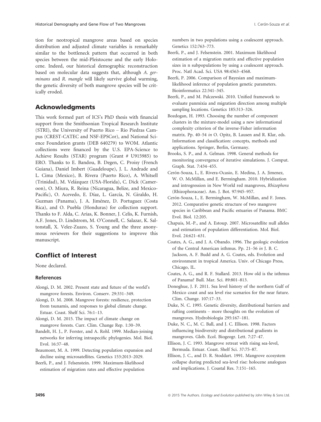tion for neotropical mangrove areas based on species distribution and adjusted climate variables is remarkably similar to the bottleneck pattern that occurred in both species between the mid-Pleistocene and the early Holocene. Indeed, our historical demographic reconstruction based on molecular data suggests that, although A. germinans and R. mangle will likely survive global warming, the genetic diversity of both mangrove species will be critically eroded.

# Acknowledgments

This work formed part of ICS's PhD thesis with financial support from the Smithsonian Tropical Research Institute (STRI), the University of Puerto Rico – Rio Piedras Campus (CREST-CATEC and NSF-EPSCor), and National Science Foundation grants (DEB 640279) to WOM. Atlantic collections were financed by the U.S. EPA-Science to Achieve Results (STAR) program (Grant # U915985) to ERO. Thanks to E. Bandou, B. Degen, C. Proisy (French Guiana), Daniel Imbert (Guadeloupe), J. L. Andrade and L. Cima (Mexico), B. Rivera (Puerto Rico), A. Whitsell (Trinidad), M. Velázquez (USA-Florida), C. Dick (Cameroon), O. Miura, R. Reina (Nicaragua, Belize, and Mexico-Pacific), O. Acevedo, E. Díaz, L. García, N. Giraldo, H. Guzman (Panama), J. A. Jiménez, D. Portuguez (Costa Rica), and O. Puebla (Honduras) for collection support. Thanks to F. Alda, C. Arias, K. Bonner, J. Celis, K. Furnish, A.F. Jones, D. Lindstrom, M. O'Connell, C. Salazar, K. Saltonstall, X. Velez-Zuazo, S. Young and the three anonymous reviewers for their suggestions to improve this manuscript.

# Conflict of Interest

None declared.

## References

- Alongi, D. M. 2002. Present state and future of the world's mangrove forests. Environ. Conserv. 29:331–349.
- Alongi, D. M. 2008. Mangrove forests: resilience, protection from tsunamis, and responses to global climate change. Estuar. Coast. Shelf Sci. 76:1–13.

Alongi, D. M. 2015. The impact of climate change on mangrove forests. Curr. Clim. Change Rep. 1:30–39.

- Bandelt, H. J., P. Forster, and A. Rohl. 1999. Median-joining networks for inferring intraspecific phylogenies. Mol. Biol. Evol. 16:37–48.
- Beaumont, M. A. 1999. Detecting population expansion and decline using microsatellites. Genetics 153:2013–2029.

Beerli, P., and J. Felsenstein. 1999. Maximum-likelihood estimation of migration rates and effective population numbers in two populations using a coalescent approach. Genetics 152:763–773.

- Beerli, P., and J. Felsenstein. 2001. Maximum likelihood estimation of a migration matrix and effective population sizes in n subpopulations by using a coalescent approach. Proc. Natl Acad. Sci. USA 98:4563–4568.
- Beerli, P. 2006. Comparison of Bayesian and maximumlikelihood inference of population genetic parameters. Bioinformatics 22:341–345.
- Beerli, P., and M. Palczewski. 2010. Unified framework to evaluate panmixia and migration direction among multiple sampling locations. Genetics 185:313–326.
- Bozdogan, H. 1993. Choosing the number of component clusters in the mixture-model using a new informational complexity criterion of the inverse-Fisher information matrix. Pp. 40–54 in O. Opitz, B. Lausen and R. Klar, eds. Information and classification: concepts, methods and applications. Springer, Berlin, Germany.
- Brooks, S. P., and A. Gelman. 1998. General methods for monitoring convergence of iterative simulations. J. Comput. Graph. Stat. 7:434–455.
- Cerón-Souza, I., E. Rivera-Ocasio, E. Medina, J. A. Jimenez, W. O. McMillan, and E. Bermingham. 2010. Hybridization and introgression in New World red mangroves, Rhizophora (Rhizophoraceae). Am. J. Bot. 97:945–957.
- Cerón-Souza, I., E. Bermingham, W. McMillan, and F. Jones. 2012. Comparative genetic structure of two mangrove species in Caribbean and Pacific estuaries of Panama. BMC Evol. Biol. 12:205.
- Chapuis, M.-P., and A. Estoup. 2007. Microsatellite null alleles and estimation of population differentiation. Mol. Biol. Evol. 24:621–631.
- Coates, A. G., and J. A. Obando. 1996. The geologic evolution of the Central American isthmus. Pp. 21–56 in J. B. C. Jackson, A. F. Budd and A. G. Coates, eds. Evolution and environment in tropical America. Univ. of Chicago Press, Chicago, IL.
- Coates, A. G., and R. F. Stallard. 2013. How old is the isthmus of Panama? Bull. Mar. Sci. 89:801–813.
- Donoghue, J. F. 2011. Sea level history of the northern Gulf of Mexico coast and sea level rise scenarios for the near future. Clim. Change. 107:17–33.
- Duke, N. C. 1995. Genetic diversity, distributional barriers and rafting continents – more thoughts on the evolution of mangroves. Hydrobiologia 295:167–181.
- Duke, N. C., M. C. Ball, and J. C. Ellison. 1998. Factors influencing biodiversity and distributional gradients in mangroves. Glob. Ecol. Biogeogr. Lett. 7:27–47.
- Ellison, J. C. 1993. Mangrove retreat with rising sea-level, Bermuda. Estuar. Coast. Shelf Sci. 37:75–87.
- Ellison, J. C., and D. R. Stoddart. 1991. Mangrove ecosystem collapse during predicted sea-level rise: holocene analogues and implications. J. Coastal Res. 7:151–165.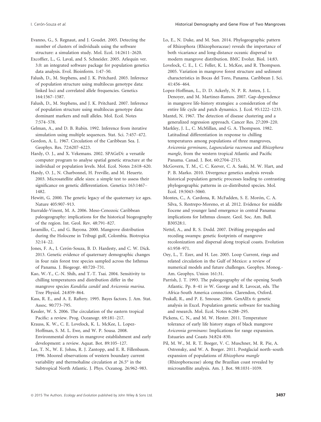Evanno, G., S. Regnaut, and J. Goudet. 2005. Detecting the number of clusters of individuals using the software structure: a simulation study. Mol. Ecol. 14:2611–2620.

Excoffier, L., G. Laval, and S. Schneider. 2005. Arlequin ver. 3.0: an integrated software package for population genetics data analysis. Evol. Bioinform. 1:47–50.

Falush, D., M. Stephens, and J. K. Pritchard. 2003. Inference of population structure using multilocus genotype data: linked loci and correlated allele frequencies. Genetics 164:1567–1587.

Falush, D., M. Stephens, and J. K. Pritchard. 2007. Inference of population structure using multilocus genotype data: dominant markers and null alleles. Mol. Ecol. Notes 7:574–578.

Gelman, A., and D. B. Rubin. 1992. Inference from iterative simulation using multiple sequences. Stat. Sci. 7:457–472.

Gordon, A. L. 1967. Circulation of the Caribbean Sea. J. Geophys. Res. 72:6207–6223.

Hardy, O. J., and X. Vekemans. 2002. SPAGeDi: a versatile computer program to analyse spatial genetic structure at the individual or population levels. Mol. Ecol. Notes 2:618–620.

Hardy, O. J., N. Charbonnel, H. Freville, and M. Heuertz. 2003. Microsatellite allele sizes: a simple test to assess their significance on genetic differentiation. Genetics 163:1467– 1482.

Hewitt, G. 2000. The genetic legacy of the quaternary ice ages. Nature 405:907–913.

Iturralde-Vinent, M. A. 2006. Meso-Cenozoic Caribbean paleogeography: implications for the historical biogeography of the region. Int. Geol. Rev. 48:791–827.

Jaramillo, C., and G. Bayona. 2000. Mangrove distribution during the Holocene in Tribugi gulf, Colombia. Biotropica 32:14–22.

Jones, F. A., I. Cerón-Souza, B. D. Hardesty, and C. W. Dick. 2013. Genetic evidence of quaternary demographic changes in four rain forest tree species sampled across the Isthmus of Panama. J. Biogeogr. 40:720–731.

Kao, W.-Y., C.-N. Shih, and T.-T. Tsai. 2004. Sensitivity to chilling temperatures and distribution differ in the mangrove species Kandelia candel and Avicennia marina. Tree Physiol. 24:859–864.

Kass, R. E., and A. E. Raftery. 1995. Bayes factors. J. Am. Stat. Assoc. 90:773–795.

Kessler, W. S. 2006. The circulation of the eastern tropical Pacific: a review. Prog. Oceanogr. 69:181–217.

Krauss, K. W., C. E. Lovelock, K. L. McKee, L. Lopez-Hoffman, S. M. L. Ewe, and W. P. Sousa. 2008. Environmental drivers in mangrove establishment and early development: a review. Aquat. Bot. 89:105–127.

Lee, T. N., W. E. Johns, R. J. Zantopp, and E. R. Fillenbaum. 1996. Moored observations of western boundary current variability and thermohaline circulation at 26.5° in the Subtropical North Atlantic. J. Phys. Oceanog. 26:962–983.

Lo, E., N. Duke, and M. Sun. 2014. Phylogeographic pattern of Rhizophora (Rhizophoraceae) reveals the importance of both vicariance and long-distance oceanic dispersal to modern mangrove distribution. BMC Evolut. Biol. 14:83.

Lovelock, C. E., I. C. Feller, K. L. McKee, and R. Thompson. 2005. Variation in mangrove forest structure and sediment characteristics in Bocas del Toro, Panama. Caribbean J. Sci. 41:456–464.

Lopez-Hoffman, L., D. D. Ackerly, N. P. R. Anten, J. L. Denoyer, and M. Martinez-Ramos. 2007. Gap-dependence in mangrove life-history strategies: a consideration of the entire life cycle and patch dynamics. J. Ecol. 95:1222–1233.

Mantel, N. 1967. The detection of disease clustering and a generalized regression approach. Cancer Res. 27:209–220.

Markley, J. L., C. McMillan, and G. A. Thompson. 1982. Latitudinal differentiation in response to chilling temperatures among populations of three mangroves, Avicennia germinans, Laguncularia racemosa and Rhizophora mangle, from the western tropical Atlantic and Pacific Panama. Canad. J. Bot. 60:2704–2715.

McGovern, T. M., C. C. Keever, C. A. Saski, M. W. Hart, and P. B. Marko. 2010. Divergence genetics analysis reveals historical population genetic processes leading to contrasting phylogeographic patterns in co-distributed species. Mol. Ecol. 19:5043–5060.

Montes, C., A. Cardona, R. McFadden, S. E. Morón, C. A. Silva, S. Restrepo-Moreno, et al. 2012. Evidence for middle Eocene and younger land emergence in central Panama: implications for Isthmus closure. Geol. Soc. Am. Bull. B30528:1.

Nettel, A., and R. S. Dodd. 2007. Drifting propagules and receding swamps: genetic footprints of mangrove recolonization and dispersal along tropical coasts. Evolution 61:958–971.

Oey, L., T. Ezer, and H. Lee. 2005. Loop Current, rings and related circulation in the Gulf of Mexico: a review of numerical models and future challenges. Geophys. Monog.- Am. Geophys. Union 161:31.

Parrish, J. T. 1993. The paleogeography of the opening South Atlantic. Pp. 8–41 in W. George and R. Lavocat, eds. The Africa-South America connection. Clarendon, Oxford.

Peakall, R., and P. E. Smouse. 2006. GenAlEx 6: genetic analysis in Excel. Population genetic software for teaching and research. Mol. Ecol. Notes 6:288–295.

Pickens, C. N., and M. W. Hester. 2011. Temperature tolerance of early life history stages of black mangrove Avicennia germinans: Implications for range expansion. Estuaries and Coasts 34:824–830.

Pil, M. W., M. R. T. Boeger, V. C. Muschner, M. R. Pie, A. Ostrensky, and W. A. Boeger. 2011. Postglacial north–south expansion of populations of Rhizophora mangle (Rhizophoraceae) along the Brazilian coast revealed by microsatellite analysis. Am. J. Bot. 98:1031–1039.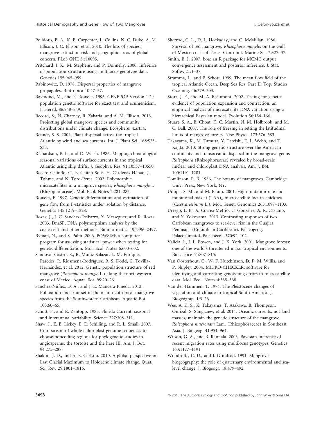Polidoro, B. A., K. E. Carpenter, L. Collins, N. C. Duke, A. M. Ellison, J. C. Ellison, et al. 2010. The loss of species: mangrove extinction risk and geographic areas of global concern. PLoS ONE 5:e10095.

Pritchard, J. K., M. Stephens, and P. Donnelly. 2000. Inference of population structure using multilocus genotype data. Genetics 155:945–959.

Rabinowitz, D. 1978. Dispersal properties of mangrove propagules. Biotropica 10:47–57.

Raymond, M., and F. Rousset. 1995. GENEPOP Version 1.2.: population genetic software for exact test and ecumenicism. J. Hered. 86:248–249.

Record, S., N. Charney, R. Zakaria, and A. M. Ellison. 2013. Projecting global mangrove species and community distributions under climate change. Ecosphere, 4:art34.

Renner, S. S. 2004. Plant dispersal across the tropical Atlantic by wind and sea currents. Int. J. Plant Sci. 16S:S23– S33.

Richardson, P. L., and D. Walsh. 1986. Mapping climatological seasonal variations of surface currents in the tropical Atlantic using ship drifts. J. Geophys. Res. 91:10537–10550.

Rosero-Galindo, C., E. Gaitan-Solis, H. Cardenas-Henao, J. Tohme, and N. Toro-Perea. 2002. Polymorphic microsatellites in a mangrove species, Rhizophora mangle L (Rhizophoraceae). Mol. Ecol. Notes 2:281–283.

Rousset, F. 1997. Genetic differentiation and estimation of gene flow from F-statistics under isolation by distance. Genetics 145:1219–1228.

Rozas, J., J. C. Sanchez-Delbarro, X. Messeguer, and R. Rozas. 2003. DnaSP, DNA polymorphism analyses by the coalescent and other methods. Bioinformatics 19:2496–2497.

Ryman, N., and S. Palm. 2006. POWSIM: a computer program for assessing statistical power when testing for genetic differentiation. Mol. Ecol. Notes 6:600–602.

Sandoval-Castro, E., R. Muñiz-Salazar, L. M. Enríquez-Paredes, R. Riosmena-Rodríguez, R. S. Dodd, C. Tovilla-Hernández, et al. 2012. Genetic population structure of red mangrove (Rhizophora mangle L.) along the northwestern coast of Mexico. Aquat. Bot. 99:20–26.

Sánchez-Núñez, D. A., and J. E. Mancera-Pineda. 2012. Pollination and fruit set in the main neotropical mangrove species from the Southwestern Caribbean. Aquatic Bot. 103:60–65.

Schott, F., and R. Zantopp. 1985. Florida Current: seasonal and interannual variability. Science 227:308–311.

Shaw, J., E. B. Lickey, E. E. Schilling, and R. L. Small. 2007. Comparison of whole chloroplast genome sequences to choose noncoding regions for phylogenetic studies in angiosperms: the tortoise and the hare III. Am. J. Bot. 94:275–288.

Shakun, J. D., and A. E. Carlson. 2010. A global perspective on Last Glacial Maximum to Holocene climate change. Quat. Sci. Rev. 29:1801–1816.

Sherrod, C. L., D. L. Hockaday, and C. McMillan. 1986. Survival of red mangrove, Rhizophora mangle, on the Gulf of Mexico coast of Texas. Contribut. Marine Sci. 29:27–37.

Smith, B. J. 2007. boa: an R package for MCMC output convergence assessment and posterior inference. J. Stat. Softw. 21:1–37.

Stramma, L., and F. Schott. 1999. The mean flow field of the tropical Atlantic Ocean. Deep Sea Res. Part II: Top. Studies Oceanog. 46:279–303.

Storz, J. F., and M. A. Beaumont. 2002. Testing for genetic evidence of population expansion and contraction: an empirical analysis of microsatellite DNA variation using a hierarchical Bayesian model. Evolution 56:154–166.

Stuart, S. A., B. Choat, K. C. Martin, N. M. Holbrook, and M. C. Ball. 2007. The role of freezing in setting the latitudinal limits of mangrove forests. New Phytol. 173:576–583.

Takayama, K., M. Tamura, Y. Tateishi, E. L. Webb, and T. Kajita. 2013. Strong genetic structure over the American continents and transoceanic dispersal in the mangrove genus Rhizophora (Rhizophoraceae) revealed by broad-scale nuclear and chloroplast DNA analysis. Am. J. Bot. 100:1191–1201.

Tomlinson, P. B. 1986. The botany of mangroves. Cambridge Univ. Press, New York, NY.

Udupa, S. M., and M. Baum. 2001. High mutation rate and mutational bias at  $(TAA)$ <sub>n</sub> microsatellite loci in chickpea (Cicer arietinum L.). Mol. Genet. Genomics 265:1097–1103.

Urrego, L. E., A. Correa-Metrio, C. González, A. R. Castaño, and Y. Yokoyama. 2013. Contrasting responses of two Caribbean mangroves to sea-level rise in the Guajira Peninsula (Colombian Caribbean). Palaeogeog. Palaeoclimatol. Palaeoecol. 370:92–102.

Valiela, I., J. L. Bowen, and J. K. York. 2001. Mangrove forests: one of the world's threatened major tropical environments. Bioscience 51:807–815.

Van Oosterhout, C., W. F. Hutchinson, D. P. M. Willis, and P. Shipley. 2004. MICRO-CHECKER: software for identifying and correcting genotyping errors in microsatellite data. Mol. Ecol. Notes 4:535–538.

Van der Hammen, T. 1974. The Pleistocene changes of vegetation and climate in tropical South America. J. Biogeograp. 1:3–26.

Wee, A. K. S., K. Takayama, T. Asakawa, B. Thompson, Onrizal, S. Sungkaew, et al. 2014. Oceanic currents, not land masses, maintain the genetic structure of the mangrove Rhizophora mucronata Lam. (Rhizophoraceae) in Southeast Asia. J. Biogeog. 41:954–964.

Wilson, G. A., and B. Rannala. 2003. Bayesian inference of recent migration rates using multilocus genotypes. Genetics 163:1177–1191.

Woodroffe, C. D., and J. Grindrod. 1991. Mangrove biogeography: the role of quaternary environmental and sealevel change. J. Biogeogr. 18:479–492.